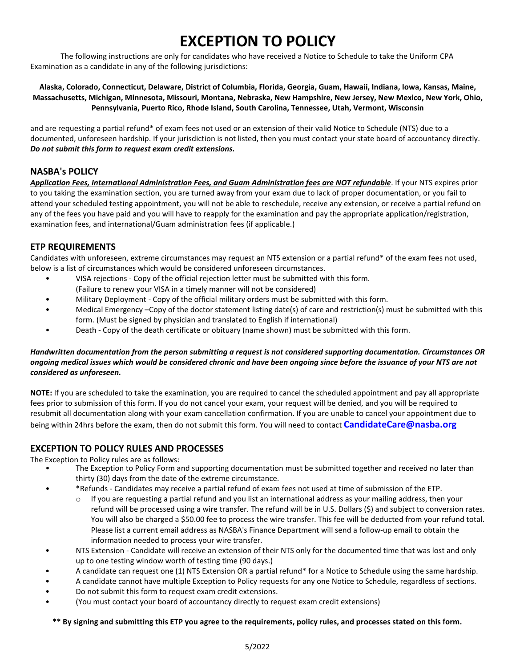# **EXCEPTION TO POLICY**

The following instructions are only for candidates who have received a Notice to Schedule to take the Uniform CPA Examination as a candidate in any of the following jurisdictions:

#### **Alaska, Colorado, Connecticut, Delaware, District of Columbia, Florida, Georgia, Guam, Hawaii, Indiana, Iowa, Kansas, Maine, Massachusetts, Michigan, Minnesota, Missouri, Montana, Nebraska, New Hampshire, New Jersey, New Mexico, New York, Ohio, Pennsylvania, Puerto Rico, Rhode Island, South Carolina, Tennessee, Utah, Vermont, Wisconsin**

and are requesting a partial refund\* of exam fees not used or an extension of their valid Notice to Schedule (NTS) due to a documented, unforeseen hardship. If your jurisdiction is not listed, then you must contact your state board of accountancy directly. *Do not submit this form to request exam credit extensions.*

### **NASBA's POLICY**

*Application Fees, International Administration Fees, and Guam Administration fees are NOT refundable*. If your NTS expires prior to you taking the examination section, you are turned away from your exam due to lack of proper documentation, or you fail to attend your scheduled testing appointment, you will not be able to reschedule, receive any extension, or receive a partial refund on any of the fees you have paid and you will have to reapply for the examination and pay the appropriate application/registration, examination fees, and international/Guam administration fees (if applicable.)

### **ETP REQUIREMENTS**

Candidates with unforeseen, extreme circumstances may request an NTS extension or a partial refund\* of the exam fees not used, below is a list of circumstances which would be considered unforeseen circumstances.

- VISA rejections Copy of the official rejection letter must be submitted with this form.
- (Failure to renew your VISA in a timely manner will not be considered)
- Military Deployment Copy of the official military orders must be submitted with this form.
- Medical Emergency –Copy of the doctor statement listing date(s) of care and restriction(s) must be submitted with this form. (Must be signed by physician and translated to English if international)
- Death Copy of the death certificate or obituary (name shown) must be submitted with this form.

#### *Handwritten documentation from the person submitting a request is not considered supporting documentation. Circumstances OR ongoing medical issues which would be considered chronic and have been ongoing since before the issuance of your NTS are not considered as unforeseen.*

**NOTE:** If you are scheduled to take the examination, you are required to cancel the scheduled appointment and pay all appropriate fees prior to submission of this form. If you do not cancel your exam, your request will be denied, and you will be required to resubmit all documentation along with your exam cancellation confirmation. If you are unable to cancel your appointment due to being within 24hrs before the exam, then do not submit this form. You will need to contact **[CandidateCare@nasba](mailto:CandidateCare@nasba.org).org**

### **EXCEPTION TO POLICY RULES AND PROCESSES**

The Exception to Policy rules are as follows:

- The Exception to Policy Form and supporting documentation must be submitted together and received no later than thirty (30) days from the date of the extreme circumstance.
- \*Refunds Candidates may receive a partial refund of exam fees not used at time of submission of the ETP.
	- $\circ$  If you are requesting a partial refund and you list an international address as your mailing address, then your refund will be processed using a wire transfer. The refund will be in U.S. Dollars (\$) and subject to conversion rates. You will also be charged a \$50.00 fee to process the wire transfer. This fee will be deducted from your refund total. Please list a current email address as NASBA's Finance Department will send a follow-up email to obtain the information needed to process your wire transfer.
- NTS Extension Candidate will receive an extension of their NTS only for the documented time that was lost and only up to one testing window worth of testing time (90 days.)
- A candidate can request one (1) NTS Extension OR a partial refund\* for a Notice to Schedule using the same hardship.
- A candidate cannot have multiple Exception to Policy requests for any one Notice to Schedule, regardless of sections.
- Do not submit this form to request exam credit extensions.
- (You must contact your board of accountancy directly to request exam credit extensions)

#### **\*\* By signing and submitting this ETP you agree to the requirements, policy rules, and processes stated on this form.**